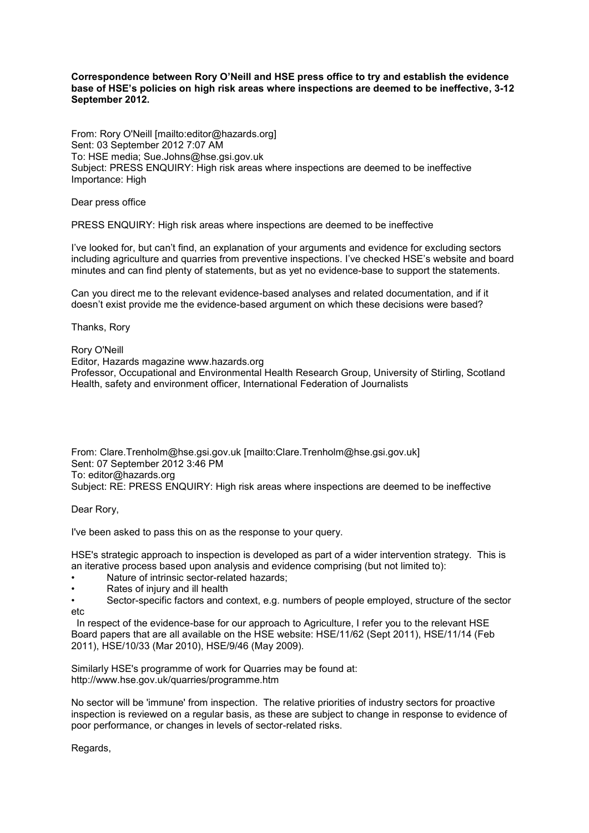### **Correspondence between Rory O'Neill and HSE press office to try and establish the evidence base of HSE's policies on high risk areas where inspections are deemed to be ineffective, 3-12 September 2012.**

From: Rory O'Neill [mailto:editor@hazards.org] Sent: 03 September 2012 7:07 AM To: HSE media; Sue.Johns@hse.gsi.gov.uk Subject: PRESS ENQUIRY: High risk areas where inspections are deemed to be ineffective Importance: High

Dear press office

PRESS ENQUIRY: High risk areas where inspections are deemed to be ineffective

I've looked for, but can't find, an explanation of your arguments and evidence for excluding sectors including agriculture and quarries from preventive inspections. I've checked HSE's website and board minutes and can find plenty of statements, but as yet no evidence-base to support the statements.

Can you direct me to the relevant evidence-based analyses and related documentation, and if it doesn't exist provide me the evidence-based argument on which these decisions were based?

Thanks, Rory

Rory O'Neill Editor, Hazards magazine www.hazards.org Professor, Occupational and Environmental Health Research Group, University of Stirling, Scotland Health, safety and environment officer, International Federation of Journalists

From: Clare.Trenholm@hse.gsi.gov.uk [mailto:Clare.Trenholm@hse.gsi.gov.uk] Sent: 07 September 2012 3:46 PM To: editor@hazards.org Subject: RE: PRESS ENQUIRY: High risk areas where inspections are deemed to be ineffective

Dear Rory,

I've been asked to pass this on as the response to your query.

HSE's strategic approach to inspection is developed as part of a wider intervention strategy. This is an iterative process based upon analysis and evidence comprising (but not limited to):

- Nature of intrinsic sector-related hazards;
- Rates of injury and ill health
- Sector-specific factors and context, e.g. numbers of people employed, structure of the sector etc

 In respect of the evidence-base for our approach to Agriculture, I refer you to the relevant HSE Board papers that are all available on the HSE website: HSE/11/62 (Sept 2011), HSE/11/14 (Feb 2011), HSE/10/33 (Mar 2010), HSE/9/46 (May 2009).

Similarly HSE's programme of work for Quarries may be found at: http://www.hse.gov.uk/quarries/programme.htm

No sector will be 'immune' from inspection. The relative priorities of industry sectors for proactive inspection is reviewed on a regular basis, as these are subject to change in response to evidence of poor performance, or changes in levels of sector-related risks.

Regards,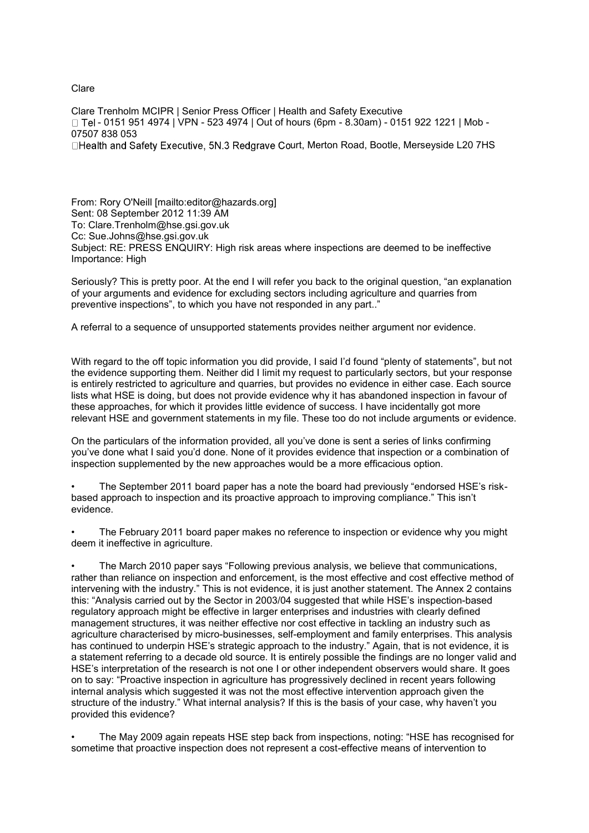## Clare

Clare Trenholm MCIPR | Senior Press Officer | Health and Safety Executive  $\Box$  Tel - 0151 951 4974 | VPN - 523 4974 | Out of hours (6pm - 8.30am) - 0151 922 1221 | Mob -07507 838 053 □Health and Safety Executive, 5N.3 Redgrave Court, Merton Road, Bootle, Merseyside L20 7HS

From: Rory O'Neill [mailto:editor@hazards.org] Sent: 08 September 2012 11:39 AM To: Clare.Trenholm@hse.gsi.gov.uk Cc: Sue.Johns@hse.gsi.gov.uk Subject: RE: PRESS ENQUIRY: High risk areas where inspections are deemed to be ineffective Importance: High

Seriously? This is pretty poor. At the end I will refer you back to the original question, "an explanation of your arguments and evidence for excluding sectors including agriculture and quarries from preventive inspections", to which you have not responded in any part.."

A referral to a sequence of unsupported statements provides neither argument nor evidence.

With regard to the off topic information you did provide, I said I'd found "plenty of statements", but not the evidence supporting them. Neither did I limit my request to particularly sectors, but your response is entirely restricted to agriculture and quarries, but provides no evidence in either case. Each source lists what HSE is doing, but does not provide evidence why it has abandoned inspection in favour of these approaches, for which it provides little evidence of success. I have incidentally got more relevant HSE and government statements in my file. These too do not include arguments or evidence.

On the particulars of the information provided, all you've done is sent a series of links confirming you've done what I said you'd done. None of it provides evidence that inspection or a combination of inspection supplemented by the new approaches would be a more efficacious option.

• The September 2011 board paper has a note the board had previously "endorsed HSE's riskbased approach to inspection and its proactive approach to improving compliance." This isn't evidence.

• The February 2011 board paper makes no reference to inspection or evidence why you might deem it ineffective in agriculture.

• The March 2010 paper says "Following previous analysis, we believe that communications, rather than reliance on inspection and enforcement, is the most effective and cost effective method of intervening with the industry." This is not evidence, it is just another statement. The Annex 2 contains this: "Analysis carried out by the Sector in 2003/04 suggested that while HSE's inspection-based regulatory approach might be effective in larger enterprises and industries with clearly defined management structures, it was neither effective nor cost effective in tackling an industry such as agriculture characterised by micro-businesses, self-employment and family enterprises. This analysis has continued to underpin HSE's strategic approach to the industry." Again, that is not evidence, it is a statement referring to a decade old source. It is entirely possible the findings are no longer valid and HSE's interpretation of the research is not one I or other independent observers would share. It goes on to say: "Proactive inspection in agriculture has progressively declined in recent years following internal analysis which suggested it was not the most effective intervention approach given the structure of the industry." What internal analysis? If this is the basis of your case, why haven't you provided this evidence?

• The May 2009 again repeats HSE step back from inspections, noting: "HSE has recognised for sometime that proactive inspection does not represent a cost-effective means of intervention to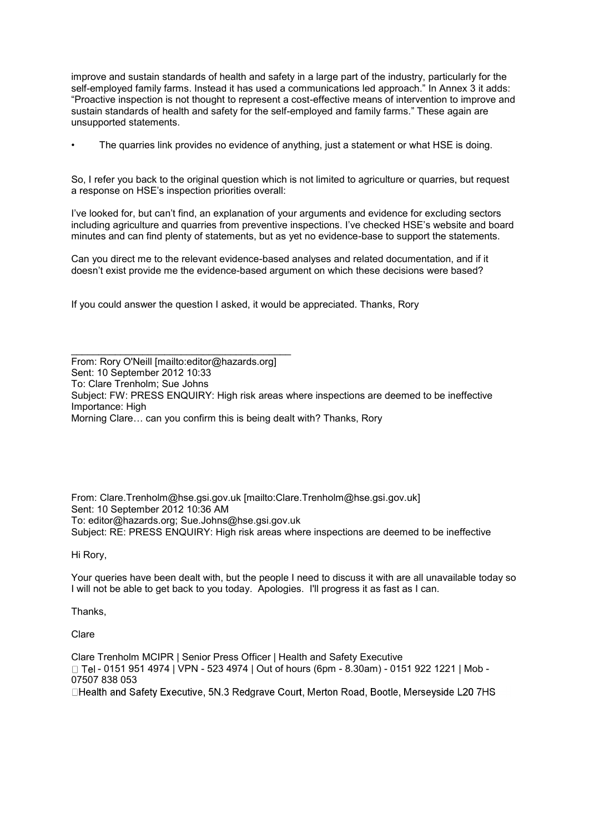improve and sustain standards of health and safety in a large part of the industry, particularly for the self-employed family farms. Instead it has used a communications led approach." In Annex 3 it adds: "Proactive inspection is not thought to represent a cost-effective means of intervention to improve and sustain standards of health and safety for the self-employed and family farms." These again are unsupported statements.

The quarries link provides no evidence of anything, just a statement or what HSE is doing.

So, I refer you back to the original question which is not limited to agriculture or quarries, but request a response on HSE's inspection priorities overall:

I've looked for, but can't find, an explanation of your arguments and evidence for excluding sectors including agriculture and quarries from preventive inspections. I've checked HSE's website and board minutes and can find plenty of statements, but as yet no evidence-base to support the statements.

Can you direct me to the relevant evidence-based analyses and related documentation, and if it doesn't exist provide me the evidence-based argument on which these decisions were based?

If you could answer the question I asked, it would be appreciated. Thanks, Rory

\_\_\_\_\_\_\_\_\_\_\_\_\_\_\_\_\_\_\_\_\_\_\_\_\_\_\_\_\_\_\_\_\_\_\_\_\_\_\_\_

From: Rory O'Neill [mailto:editor@hazards.org] Sent: 10 September 2012 10:33 To: Clare Trenholm; Sue Johns Subject: FW: PRESS ENQUIRY: High risk areas where inspections are deemed to be ineffective Importance: High Morning Clare… can you confirm this is being dealt with? Thanks, Rory

From: Clare.Trenholm@hse.gsi.gov.uk [mailto:Clare.Trenholm@hse.gsi.gov.uk] Sent: 10 September 2012 10:36 AM To: editor@hazards.org; Sue.Johns@hse.gsi.gov.uk Subject: RE: PRESS ENQUIRY: High risk areas where inspections are deemed to be ineffective

Hi Rory,

Your queries have been dealt with, but the people I need to discuss it with are all unavailable today so I will not be able to get back to you today. Apologies. I'll progress it as fast as I can.

Thanks,

Clare

Clare Trenholm MCIPR | Senior Press Officer | Health and Safety Executive  $\Box$  Tel - 0151 951 4974 | VPN - 523 4974 | Out of hours (6pm - 8.30am) - 0151 922 1221 | Mob -07507 838 053 □Health and Safety Executive, 5N.3 Redgrave Court, Merton Road, Bootle, Mersevside L20 7HS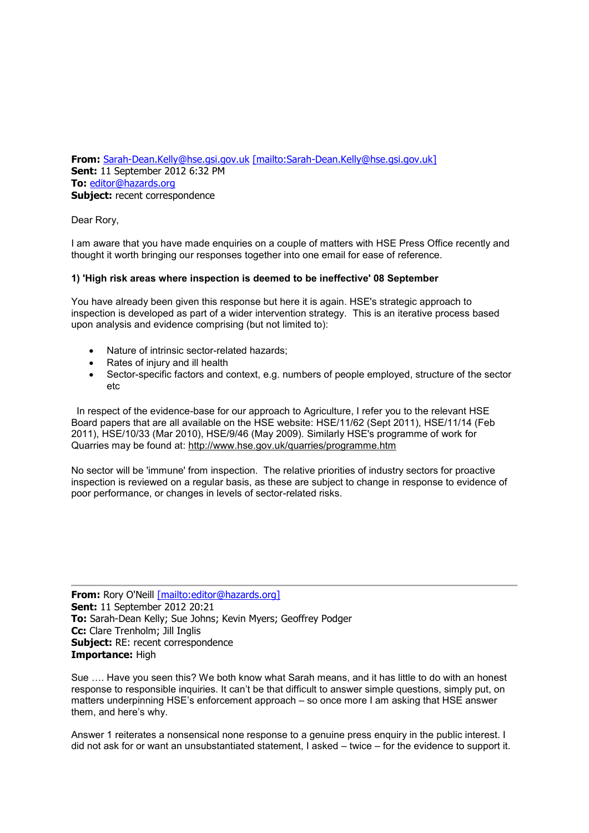**From:** [Sarah-Dean.Kelly@hse.gsi.gov.uk](mailto:Sarah-Dean.Kelly@hse.gsi.gov.uk) [\[mailto:Sarah-Dean.Kelly@hse.gsi.gov.uk\]](mailto:[mailto:Sarah-Dean.Kelly@hse.gsi.gov.uk]) **Sent:** 11 September 2012 6:32 PM **To:** [editor@hazards.org](mailto:editor@hazards.org) **Subject:** recent correspondence

Dear Rory,

I am aware that you have made enquiries on a couple of matters with HSE Press Office recently and thought it worth bringing our responses together into one email for ease of reference.

### **1) 'High risk areas where inspection is deemed to be ineffective' 08 September**

You have already been given this response but here it is again. HSE's strategic approach to inspection is developed as part of a wider intervention strategy. This is an iterative process based upon analysis and evidence comprising (but not limited to):

- Nature of intrinsic sector-related hazards;
- Rates of injury and ill health
- Sector-specific factors and context, e.g. numbers of people employed, structure of the sector etc

In respect of the evidence-base for our approach to Agriculture, I refer you to the relevant HSE Board papers that are all available on the HSE website: HSE/11/62 (Sept 2011), HSE/11/14 (Feb 2011), HSE/10/33 (Mar 2010), HSE/9/46 (May 2009). Similarly HSE's programme of work for Quarries may be found at: <http://www.hse.gov.uk/quarries/programme.htm>

No sector will be 'immune' from inspection. The relative priorities of industry sectors for proactive inspection is reviewed on a regular basis, as these are subject to change in response to evidence of poor performance, or changes in levels of sector-related risks.

**From:** Rory O'Neill [\[mailto:editor@hazards.org\]](mailto:[mailto:editor@hazards.org]) **Sent:** 11 September 2012 20:21 **To:** Sarah-Dean Kelly; Sue Johns; Kevin Myers; Geoffrey Podger **Cc:** Clare Trenholm; Jill Inglis **Subject:** RE: recent correspondence **Importance:** High

Sue …. Have you seen this? We both know what Sarah means, and it has little to do with an honest response to responsible inquiries. It can't be that difficult to answer simple questions, simply put, on matters underpinning HSE's enforcement approach – so once more I am asking that HSE answer them, and here's why.

Answer 1 reiterates a nonsensical none response to a genuine press enquiry in the public interest. I did not ask for or want an unsubstantiated statement, I asked – twice – for the evidence to support it.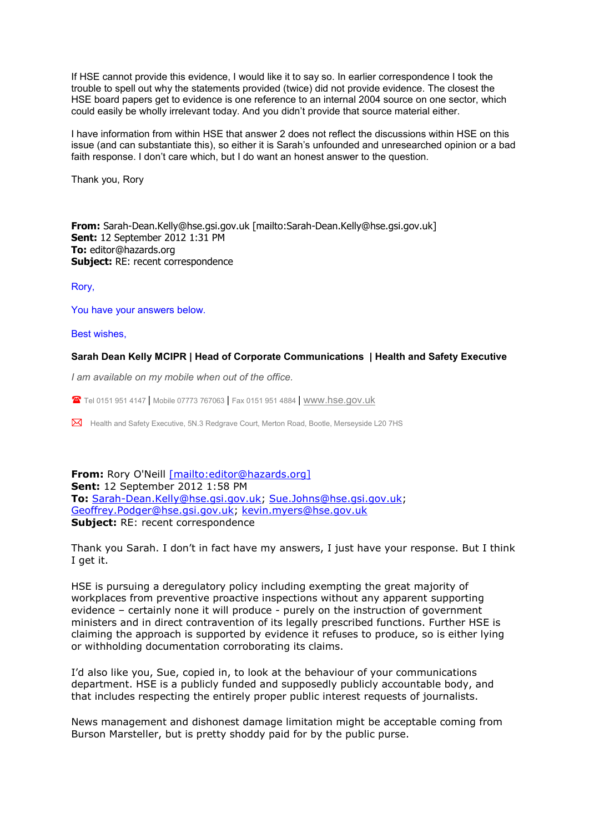If HSE cannot provide this evidence, I would like it to say so. In earlier correspondence I took the trouble to spell out why the statements provided (twice) did not provide evidence. The closest the HSE board papers get to evidence is one reference to an internal 2004 source on one sector, which could easily be wholly irrelevant today. And you didn't provide that source material either.

I have information from within HSE that answer 2 does not reflect the discussions within HSE on this issue (and can substantiate this), so either it is Sarah's unfounded and unresearched opinion or a bad faith response. I don't care which, but I do want an honest answer to the question.

Thank you, Rory

**From:** Sarah-Dean.Kelly@hse.gsi.gov.uk [mailto:Sarah-Dean.Kelly@hse.gsi.gov.uk] **Sent:** 12 September 2012 1:31 PM **To:** editor@hazards.org **Subject:** RE: recent correspondence

Rory,

You have your answers below.

Best wishes,

#### **Sarah Dean Kelly MCIPR | Head of Corporate Communications | Health and Safety Executive**

*I am available on my mobile when out of the office.*

Tel 0151 951 4147 | Mobile 07773 767063 | Fax 0151 951 4884 | [www.hse.gov.uk](http://www.hse.gov.uk/)

Health and Safety Executive, 5N.3 Redgrave Court, Merton Road, Bootle, Merseyside L20 7HS

# **From:** Rory O'Neill [\[mailto:editor@hazards.org\]](mailto:[mailto:editor@hazards.org]) **Sent:** 12 September 2012 1:58 PM **To:** [Sarah-Dean.Kelly@hse.gsi.gov.uk;](mailto:Sarah-Dean.Kelly@hse.gsi.gov.uk) [Sue.Johns@hse.gsi.gov.uk;](mailto:Sue.Johns@hse.gsi.gov.uk) [Geoffrey.Podger@hse.gsi.gov.uk;](mailto:Geoffrey.Podger@hse.gsi.gov.uk) [kevin.myers@hse.gov.uk](mailto:kevin.myers@hse.gov.uk) **Subject:** RE: recent correspondence

Thank you Sarah. I don't in fact have my answers, I just have your response. But I think I get it.

HSE is pursuing a deregulatory policy including exempting the great majority of workplaces from preventive proactive inspections without any apparent supporting evidence – certainly none it will produce - purely on the instruction of government ministers and in direct contravention of its legally prescribed functions. Further HSE is claiming the approach is supported by evidence it refuses to produce, so is either lying or withholding documentation corroborating its claims.

I'd also like you, Sue, copied in, to look at the behaviour of your communications department. HSE is a publicly funded and supposedly publicly accountable body, and that includes respecting the entirely proper public interest requests of journalists.

News management and dishonest damage limitation might be acceptable coming from Burson Marsteller, but is pretty shoddy paid for by the public purse.